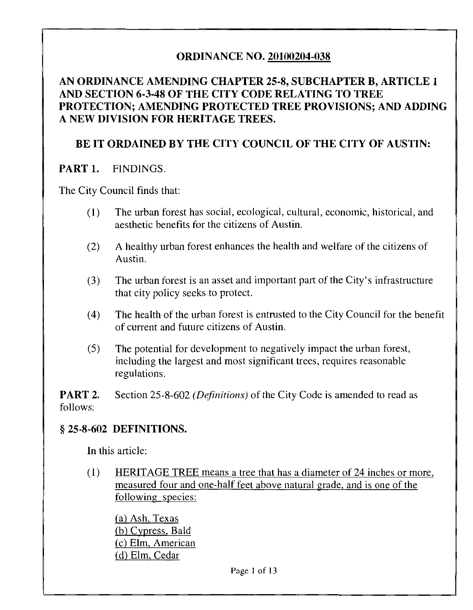### ORDINANCE NO. 20100204-038

#### AN ORDINANCE AMENDING CHAPTER 25-8, SUBCHAPTER B, ARTICLE 1 AND SECTION 6-3-48 OF THE CITY CODE RELATING TO TREE PROTECTION; AMENDING PROTECTED TREE PROVISIONS; AND ADDING A NEW DIVISION FOR HERITAGE TREES.

## BE IT ORDAINED BY THE CITY COUNCIL OF THE CITY OF AUSTIN:

#### PART 1. FINDINGS.

The City Council finds that:

- (1) The urban forest has social, ecological, cultural, economic, historical, and aesthetic benefits for the citizens of Austin.
- (2) A healthy urban forest enhances the health and welfare of the citizens of Austin.
- (3) The urban forest is an asset and important part of the City's infrastructure that city policy seeks to protect.
- (4) The health of the urban forest is entrusted to the City Council for the benefit of current and future citizens of Austin.
- (5) The potential for development to negatively impact the urban forest, including the largest and most significant trees, requires reasonable regulations.

**PART 2.** Section 25-8-602 *(Definitions)* of the City Code is amended to read as follows:

#### § 25-8-602 DEFINITIONS.

In this article:

(1) HERITAGE TREE means a tree that has a diameter of 24 inches or more, measured four and one-half feet above natural grade, and is one of the following species:

(a) Ash, Texas (b) Cypress. Bald (c) Elm, American (d) Elm, Cedar

Page 1 of 13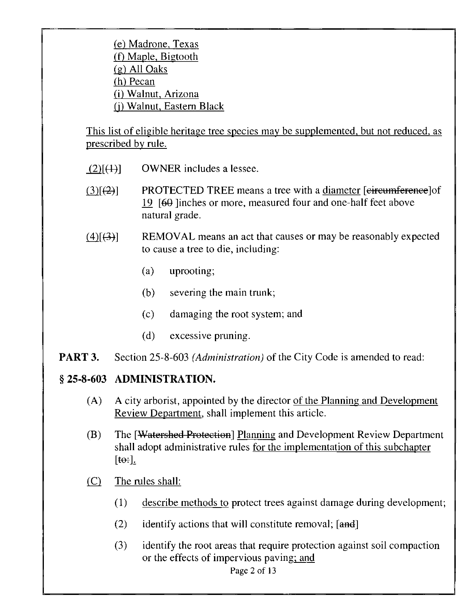(e) Madrone, Texas (f) Maple. Bigtooth (g) All Oaks (h) Pecan (i) Walnut, Arizona (j) Walnut, Eastern Black

This list of eligible heritage tree species may be supplemented, but not reduced, as prescribed by rule.

- $(2)[(4)]$  OWNER includes a lessee.
- PROTECTED TREE means a tree with a diameter [eircumference]of  $(3)[(2)]$ 19 [60 Jinches or more, measured four and one-half feet above natural grade.
- REMOVAL means an act that causes or may be reasonably expected  $(4)[(3)]$ to cause a tree to die, including:
	- (a) uprooting;
	- (b) severing the main trunk;
	- (c) damaging the root system; and
	- (d) excessive pruning.
- **PART 3.** Section 25-8-603 (Administration) of the City Code is amended to read:

#### § 25-8-603 ADMINISTRATION.

- (A) A city arborist, appointed by the director of the Planning and Development Review Department, shall implement this article.
- (B) The [Watershed Protection] Planning and Development Review Department shall adopt administrative rules for the implementation of this subchapter  $[**to**:].$
- (C) The rules shall:
	- (1) describe methods to protect trees against damage during development;
	- (2) identify actions that will constitute removal;  $[and]$
	- (3) identify the root areas that require protection against soil compaction or the effects of impervious paving; and

Page 2 of 13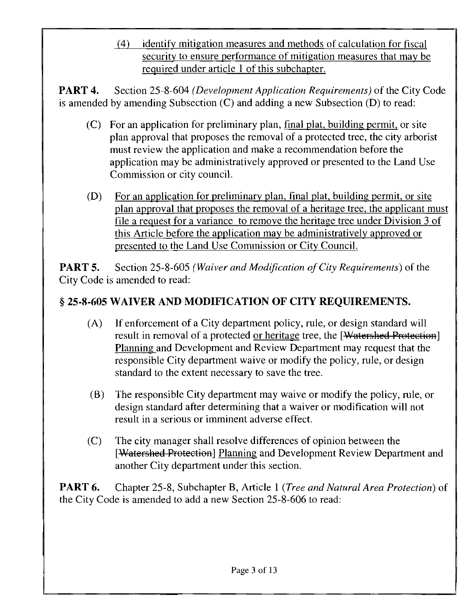(4) identify mitigation measures and methods of calculation for fiscal security to ensure performance of mitigation measures that may be required under article 1 of this subchapter.

PART 4. Section 25-8-604 (Development Application Requirements) of the City Code is amended by amending Subsection (C) and adding a new Subsection (D) to read:

- (C) For an application for preliminary plan, final plat, building permit, or site plan approval that proposes the removal of a protected tree, the city arborist must review the application and make a recommendation before the application may be administratively approved or presented to the Land Use Commission or city council.
- (D) For an application for preliminary plan, final plat, building permit, or site plan approval that proposes the removal of a heritage tree, the applicant must file a request for a variance to remove the heritage tree under Division 3 of this Article before the application may be administratively approved or presented to the Land Use Commission or City Council.

**PART 5.** Section 25-8-605 (Waiver and Modification of City Requirements) of the City Code is amended to read:

# § 25-8-605 WAIVER AND MODIFICATION OF CITY REQUIREMENTS.

- (A) If enforcement of a City department policy, rule, or design standard will result in removal of a protected or heritage tree, the [Watershed Protection] Planning and Development and Review Department may request that the responsible City department waive or modify the policy, rule, or design standard to the extent necessary to save the tree.
- (B) The responsible City department may waive or modify the policy, rule, or design standard after determining that a waiver or modification will not result in a serious or imminent adverse effect.
- (C) The city manager shall resolve differences of opinion between the [Watershed Protection] Planning and Development Review Department and another City department under this section.

**PART 6.** Chapter 25-8, Subchapter B, Article 1 (*Tree and Natural Area Protection*) of the City Code is amended to add a new Section 25-8-606 to read: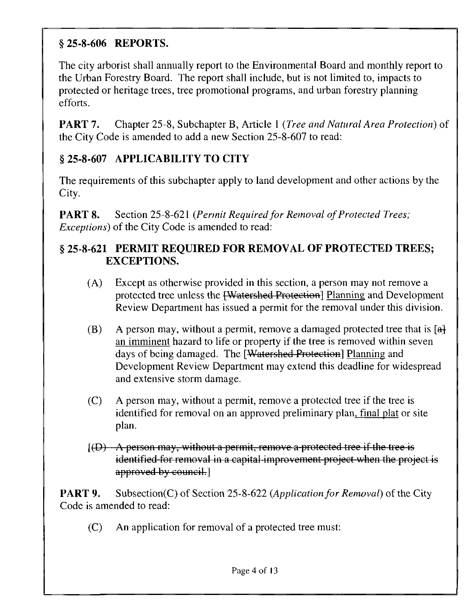# §25-8-606 REPORTS.

The city arborist shall annually report to the Environmental Board and monthly report to the Urban Forestry Board. The report shall include, but is not limited to, impacts to protected or heritage trees, tree promotional programs, and urban forestry planning efforts.

**PART 7.** Chapter 25-8, Subchapter B, Article 1 (*Tree and Natural Area Protection*) of the City Code is amended to add a new Section 25-8-607 to read:

# § 25-8-607 APPLICABILITY TO CITY

The requirements of this subchapter apply to land development and other actions by the City.

**PART 8.** Section 25-8-621 (Permit Required for Removal of Protected Trees; Exceptions) of the City Code is amended to read:

### § 25-8-621 PERMIT REQUIRED FOR REMOVAL OF PROTECTED TREES; EXCEPTIONS.

- (A) Except as otherwise provided in this section, a person may not remove a protected tree unless the <del>[Watershed Protection</del>] Planning and Development Review Department has issued a permit for the removal under this division.
- (B) A person may, without a permit, remove a damaged protected tree that is  $[a]$ an imminent hazard to life or property if the tree is removed within seven days of being damaged. The [Watershed Protection] Planning and Development Review Department may extend this deadline for widespread and extensive storm damage.
- (C) A person may, without a permit, remove a protected tree if the tree is identified for removal on an approved preliminary plan, final plat or site plan.
- $[$ (D)  $-A$  person may, without a permit, remove a protected tree if the tree is identified for removal in a capital improvement project when the project is approved by council.

**PART 9.** Subsection(C) of Section 25-8-622 (Application for Removal) of the City Code is amended to read:

(C) An application for removal of a protected tree must: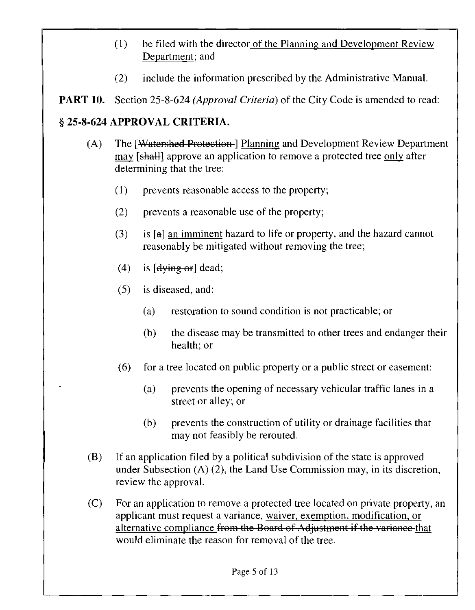- (1) be filed with the director of the Planning and Development Review Department; and
- (2) include the information prescribed by the Administrative Manual.

**PART 10.** Section 25-8-624 (Approval Criteria) of the City Code is amended to read:

## § 25-8-624 APPROVAL CRITERIA.

- (A) The [Watershed Protection-] Planning and Development Review Department may [shall] approve an application to remove a protected tree only after determining that the tree:
	- (1) prevents reasonable access to the property;
	- (2) prevents a reasonable use of the property;
	- $(3)$  is [a] an imminent hazard to life or property, and the hazard cannot reasonably be mitigated without removing the tree;
	- (4) is  $\left[4\right]$  dead;
	- (5) is diseased, and:
		- (a) restoration to sound condition is not practicable; or
		- (b) the disease may be transmitted to other trees and endanger their health; or
	- (6) for a tree located on public property or a public street or easement:
		- (a) prevents the opening of necessary vehicular traffic lanes in a street or alley; or
		- (b) prevents the construction of utility or drainage facilities that may not feasibly be rerouted.
- (B) If an application filed by a political subdivision of the state is approved under Subsection (A) (2), the Land Use Commission may, in its discretion, review the approval.
- (C) For an application to remove a protected tree located on private property, an applicant must request a variance, waiver, exemption, modification, or alternative compliance from the Board of Adjustment if the variance that would eliminate the reason for removal of the tree.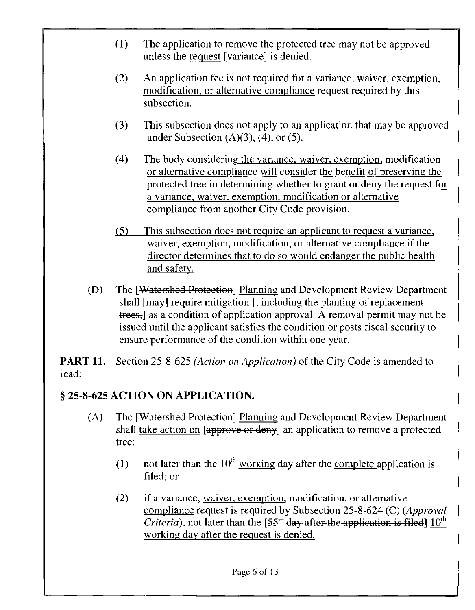- (1) The application to remove the protected tree may not be approved unless the request [variance] is denied.
- (2) An application fee is not required for a variance, waiver, exemption, modification, or alternative compliance request required by this subsection.
- (3) This subsection does not apply to an application that may be approved under Subsection  $(A)(3)$ ,  $(4)$ , or  $(5)$ .
- (4) The body considering the variance, waiver, exemption, modification or alternative compliance will consider the benefit of preserving the protected tree in determining whether to grant or deny the request for a variance, waiver, exemption, modification or alternative compliance from another City Code provision.
- (5) This subsection does not require an applicant to request a variance, waiver, exemption, modification, or alternative compliance if the director determines that to do so would endanger the public health and safety.
- (D) The [Watershed Protection] Planning and Development Review Department shall [may] require mitigation [, including the planting of replacement trees, as a condition of application approval. A removal permit may not be issued until the applicant satisfies the condition or posts fiscal security to ensure performance of the condition within one year.

**PART 11.** Section 25-8-625 (Action on Application) of the City Code is amended to read:

## § 25-8-625 ACTION ON APPLICATION.

- (A) The [Watershed Protection] Planning and Development Review Department shall take action on [approve or deny] an application to remove a protected tree:
	- (1) not later than the  $10^{th}$  working day after the complete application is filed; or
	- (2) if a variance, waiver, exemption, modification, or alternative compliance request is required by Subsection 25-8-624 (C) (Approval *Criteria*), not later than the  $[55<sup>th</sup>$  day after the application is filed]  $10<sup>th</sup>$ working day after the request is denied.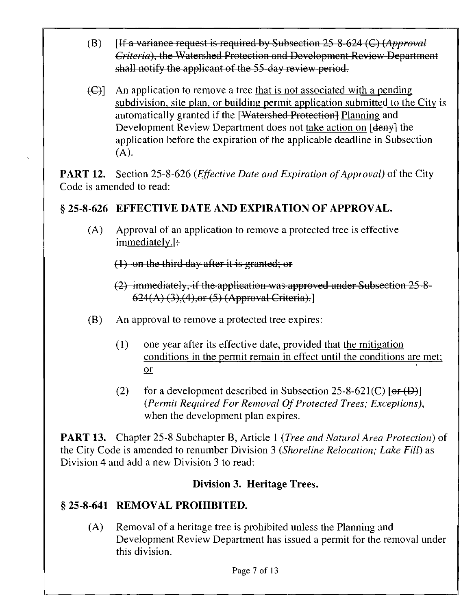- (B) [If a variance request is required by Subsection 25 8-624 (C) (Approval Criteria), the Watershed Protection and Development Review Departmont shall notify the applicant of the 55 day review period.
- $(\bigoplus)$  An application to remove a tree that is not associated with a pending subdivision, site plan, or building permit application submitted to the City is automatically granted if the [Watershed Protection] Planning and Development Review Department does not take action on [<del>deny</del>] the application before the expiration of the applicable deadline in Subsection  $(A)$ .

**PART 12.** Section 25-8-626 (*Effective Date and Expiration of Approval*) of the City Code is amended to read:

## § 25-8-626 EFFECTIVE DATE AND EXPIRATION OF APPROVAL.

(A) Approval of an application to remove a protected tree is effective  $immediately.$ [ $\div$ ]

(1) on the third day after it is granted; or

(2) immediately, if the application was approved under Subsection 25 8 624(A) (3),(4),or (5) (Approval Criteria).]

- (B) An approval to remove a protected tree expires:
	- (1) one year after its effective date, provided that the mitigation conditions in the permit remain in effect until the conditions are met; or
	- (2) for a development described in Subsection 25-8-621(C)  $[**or**(**D**)]$ (Permit Required For Removal Of Protected Trees; Exceptions), when the development plan expires.

**PART 13.** Chapter 25-8 Subchapter B, Article 1 (*Tree and Natural Area Protection*) of the City Code is amended to renumber Division 3 (Shoreline Relocation; Lake Fill) as Division 4 and add a new Division 3 to read:

#### Division 3. Heritage Trees.

## § 25-8-641 REMOVAL PROHIBITED.

(A) Removal of a heritage tree is prohibited unless the Planning and Development Review Department has issued a permit for the removal under this division.

Page 7 of 13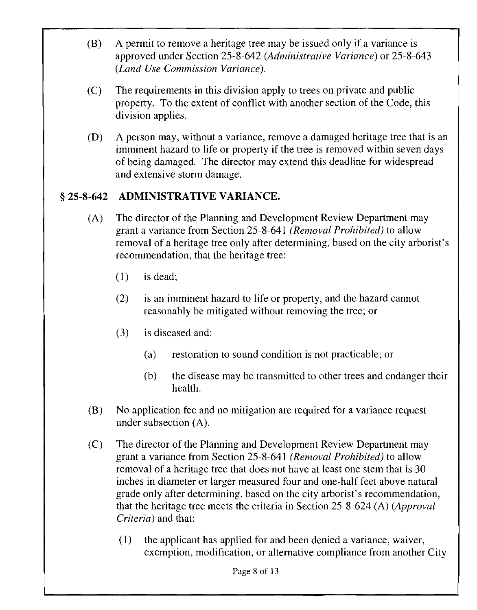- (B) A permit to remove a heritage tree may be issued only if a variance is approved under Section 25-8-642 (Administrative Variance) or 25-8-643 (Land Use Commission Variance).
- (C) The requirements in this division apply to trees on private and public property. To the extent of conflict with another section of the Code, this division applies.
- (D) A person may, without a variance, remove a damaged heritage tree that is an imminent hazard to life or property if the tree is removed within seven days of being damaged. The director may extend this deadline for widespread and extensive storm damage.

## § 25-8-642 ADMINISTRATIVE VARIANCE.

- (A) The director of the Planning and Development Review Department may grant a variance from Section 25-8-641 (Removal Prohibited) to allow removal of a heritage tree only after determining, based on the city arborist's recommendation, that the heritage tree:
	- (1) is dead;
	- (2) is an imminent hazard to life or property, and the hazard cannot reasonably be mitigated without removing the tree; or
	- (3) is diseased and:
		- (a) restoration to sound condition is not practicable; or
		- (b) the disease may be transmitted to other trees and endanger their health.
- (B) No application fee and no mitigation are required for a variance request under subsection (A).
- (C) The director of the Planning and Development Review Department may grant a variance from Section 25-8-641 (Removal Prohibited) to allow removal of a heritage tree that does not have at least one stem that is 30 inches in diameter or larger measured four and one-half feet above natural grade only after determining, based on the city arborist's recommendation, that the heritage tree meets the criteria in Section 25-8-624 (A) (Approval Criteria) and that:
	- (1) the applicant has applied for and been denied a variance, waiver, exemption, modification, or alternative compliance from another City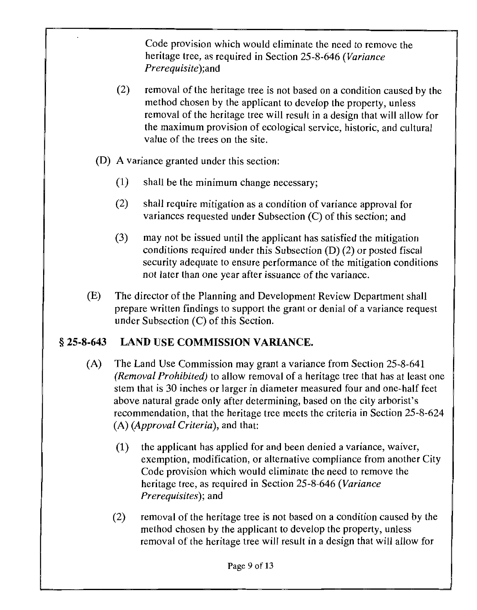Code provision which would eliminate the need to remove the heritage tree, as required in Section 25-8-646 (Variance *Prerequisite*); and

- (2) removal of the heritage tree is not based on a condition caused by the method chosen by the applicant to develop the property, unless removal of the heritage tree will result in a design that will allow for the maximum provision of ecological service, historic, and cultural value of the trees on the site.
- (D) A variance granted under this section:
	- (1) shall be the minimum change necessary;
	- (2) shall require mitigation as a condition of variance approval for variances requested under Subsection (C) of this section; and
	- (3) may not be issued until the applicant has satisfied the mitigation conditions required under this Subsection (D) (2) or posted fiscal security adequate to ensure performance of the mitigation conditions not later than one year after issuance of the variance.
- (E) The director of the Planning and Development Review Department shall prepare written findings to support the grant or denial of a variance request under Subsection (C) of this Section.

## § 25-8-643 LAND USE COMMISSION VARIANCE.

- (A) The Land Use Commission may grant a variance from Section 25-8-641 (Removal Prohibited) to allow removal of a heritage tree that has at least one stem that is 30 inches or larger in diameter measured four and one-half feet above natural grade only after determining, based on the city arborist's recommendation, that the heritage tree meets the criteria in Section 25-8-624 (A) (Approval Criteria), and that:
	- (1) the applicant has applied for and been denied a variance, waiver, exemption, modification, or alternative compliance from another City Code provision which would eliminate the need to remove the heritage tree, as required in Section 25-8-646 (Variance Prerequisites), and
	- (2) removal of the heritage tree is not based on a condition caused by the method chosen by the applicant to develop the property, unless removal of the heritage tree will result in a design that will allow for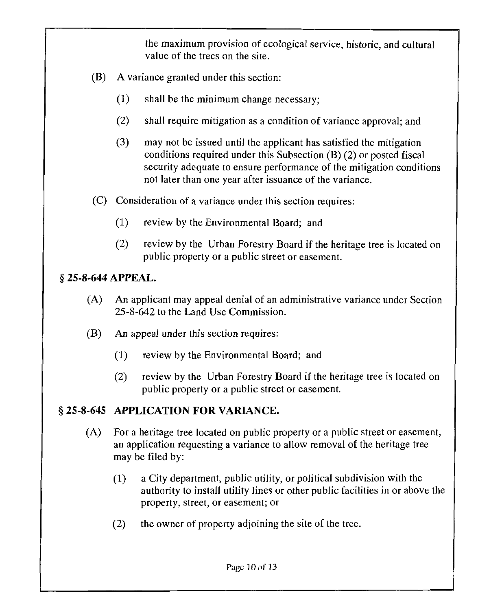the maximum provision of ecological service, historic, and cultural value of the trees on the site.

- (B) A variance granted under this section:
	- (1) shall be the minimum change necessary;
	- (2) shall require mitigation as a condition of variance approval; and
	- (3) may not be issued until the applicant has satisfied the mitigation conditions required under this Subsection (B) (2) or posted fiscal security adequate to ensure performance of the mitigation conditions not later than one year after issuance of the variance.
- (C) Consideration of a variance under this section requires:
	- (1) review by the Environmental Board; and
	- (2) review by the Urban Forestry Board if the heritage tree is located on public property or a public street or easement.

### § 25-8-644 APPEAL.

- (A) An applicant may appeal denial of an administrative variance under Section 25-8-642 to the Land Use Commission.
- (B) An appeal under this section requires:
	- (1) review by the Environmental Board; and
	- (2) review by the Urban Forestry Board if the heritage tree is located on public property or a public street or easement.

## § 25-8-645 APPLICATION FOR VARIANCE.

- (A) For a heritage tree located on public property or a public street or easement, an application requesting a variance to allow removal of the heritage tree may be filed by:
	- (1) a City department, public utility, or political subdivision with the authority to install utility lines or other public facilities in or above the property, street, or easement; or
	- (2) the owner of property adjoining the site of the tree.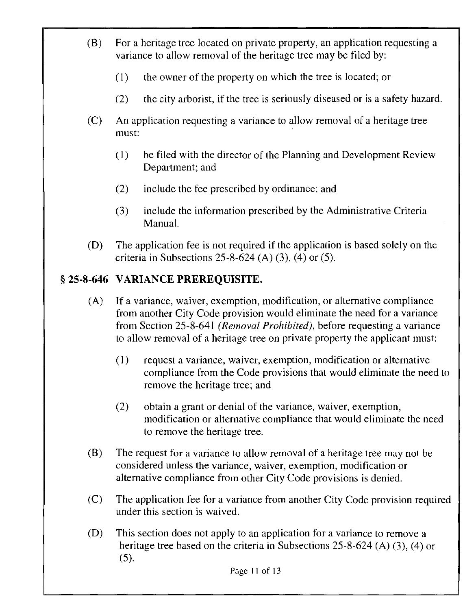- (B) For a heritage tree located on private property, an application requesting a variance to allow removal of the heritage tree may be filed by:
	- (1) the owner of the property on which the tree is located; or
	- (2) the city arborist, if the tree is seriously diseased or is a safety hazard.
- (C) An application requesting a variance to allow removal of a heritage tree must:
	- (1) be filed with the director of the Planning and Development Review Department; and
	- (2) include the fee prescribed by ordinance; and
	- (3) include the information prescribed by the Administrative Criteria Manual.
- (D) The application fee is not required if the application is based solely on the criteria in Subsections 25-8-624 (A)  $(3)$ ,  $(4)$  or  $(5)$ .

# § 25-8-646 VARIANCE PREREQUISITE.

- (A) If a variance, waiver, exemption, modification, or alternative compliance from another City Code provision would eliminate the need for a variance from Section 25-8-641 (Removal Prohibited), before requesting a variance to allow removal of a heritage tree on private property the applicant must:
	- (1) request a variance, waiver, exemption, modification or alternative compliance from the Code provisions that would eliminate the need to remove the heritage tree; and
	- (2) obtain a grant or denial of the variance, waiver, exemption, modification or alternative compliance that would eliminate the need to remove the heritage tree.
- (B) The request for a variance to allow removal of a heritage tree may not be considered unless the variance, waiver, exemption, modification or alternative compliance from other City Code provisions is denied.
- (C) The application fee for a variance from another City Code provision required under this section is waived.
- (D) This section does not apply to an application for a variance to remove a heritage tree based on the criteria in Subsections 25-8-624 (A) (3), (4) or (5).

Page 11 of 13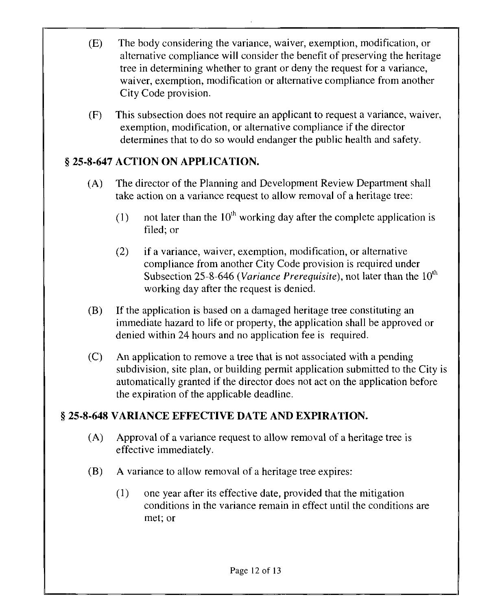- (E) The body considering the variance, waiver, exemption, modification, or alternative compliance will consider the benefit of preserving the heritage tree in determining whether to grant or deny the request for a variance, waiver, exemption, modification or alternative compliance from another City Code provision.
- (F) This subsection does not require an applicant to request a variance, waiver, exemption, modification, or alternative compliance if the director determines that to do so would endanger the public health and safety.

## § 25-8-647 ACTION ON APPLICATION.

- (A) The director of the Planning and Development Review Department shall take action on a variance request to allow removal of a heritage tree:
	- (1) not later than the  $10^{th}$  working day after the complete application is filed; or
	- (2) if a variance, waiver, exemption, modification, or alternative compliance from another City Code provision is required under Subsection 25-8-646 (Variance Prerequisite), not later than the  $10<sup>th</sup>$ working day after the request is denied.
- (B) If the application is based on a damaged heritage tree constituting an immediate hazard to life or property, the application shall be approved or denied within 24 hours and no application fee is required.
- (C) An application to remove a tree that is not associated with a pending subdivision, site plan, or building permit application submitted to the City is automatically granted if the director does not act on the application before the expiration of the applicable deadline.

## § 25-8-648 VARIANCE EFFECTIVE DATE AND EXPIRATION.

- (A) Approval of a variance request to allow removal of a heritage tree is effective immediately.
- (B) A variance to allow removal of a heritage tree expires:
	- (1) one year after its effective date, provided that the mitigation conditions in the variance remain in effect until the conditions are met; or